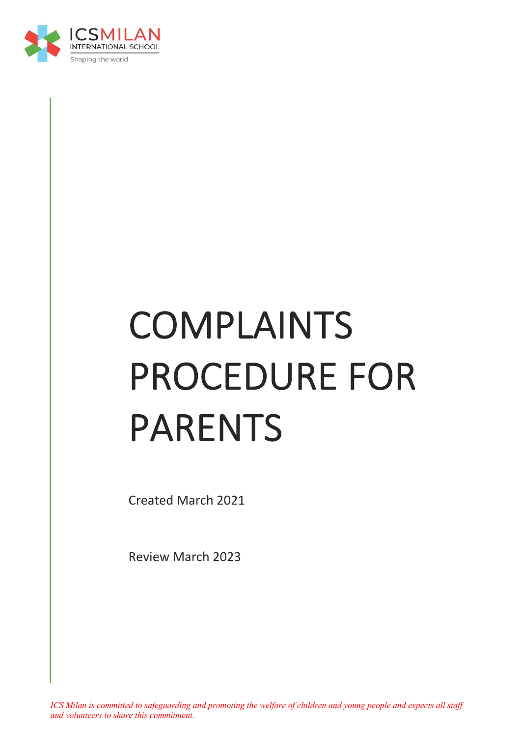

# COMPLAINTS PROCEDURE FOR PARENTS

Created March 2021

Review March 2023

*ICS Milan is committed to safeguarding and promoting the welfare of children and young people and expects all staff and volunteers to share this commitment.*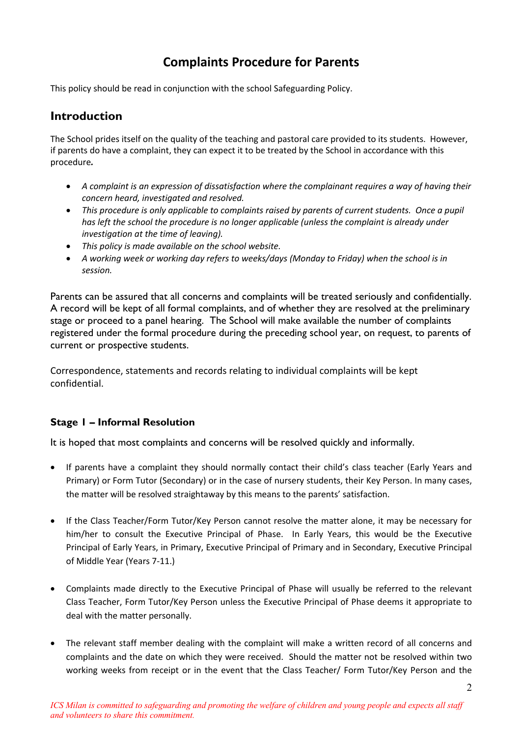# **Complaints Procedure for Parents**

This policy should be read in conjunction with the school Safeguarding Policy.

# **Introduction**

The School prides itself on the quality of the teaching and pastoral care provided to its students. However, if parents do have a complaint, they can expect it to be treated by the School in accordance with this procedure*.*

- *A complaint is an expression of dissatisfaction where the complainant requires a way of having their concern heard, investigated and resolved.*
- *This procedure is only applicable to complaints raised by parents of current students. Once a pupil has left the school the procedure is no longer applicable (unless the complaint is already under investigation at the time of leaving).*
- *This policy is made available on the school website.*
- *A working week or working day refers to weeks/days (Monday to Friday) when the school is in session.*

Parents can be assured that all concerns and complaints will be treated seriously and confidentially. A record will be kept of all formal complaints, and of whether they are resolved at the preliminary stage or proceed to a panel hearing. The School will make available the number of complaints registered under the formal procedure during the preceding school year, on request, to parents of current or prospective students.

Correspondence, statements and records relating to individual complaints will be kept confidential.

## **Stage 1 – Informal Resolution**

It is hoped that most complaints and concerns will be resolved quickly and informally.

- If parents have a complaint they should normally contact their child's class teacher (Early Years and Primary) or Form Tutor (Secondary) or in the case of nursery students, their Key Person. In many cases, the matter will be resolved straightaway by this means to the parents' satisfaction.
- If the Class Teacher/Form Tutor/Key Person cannot resolve the matter alone, it may be necessary for him/her to consult the Executive Principal of Phase. In Early Years, this would be the Executive Principal of Early Years, in Primary, Executive Principal of Primary and in Secondary, Executive Principal of Middle Year (Years 7-11.)
- Complaints made directly to the Executive Principal of Phase will usually be referred to the relevant Class Teacher, Form Tutor/Key Person unless the Executive Principal of Phase deems it appropriate to deal with the matter personally.
- The relevant staff member dealing with the complaint will make a written record of all concerns and complaints and the date on which they were received. Should the matter not be resolved within two working weeks from receipt or in the event that the Class Teacher/ Form Tutor/Key Person and the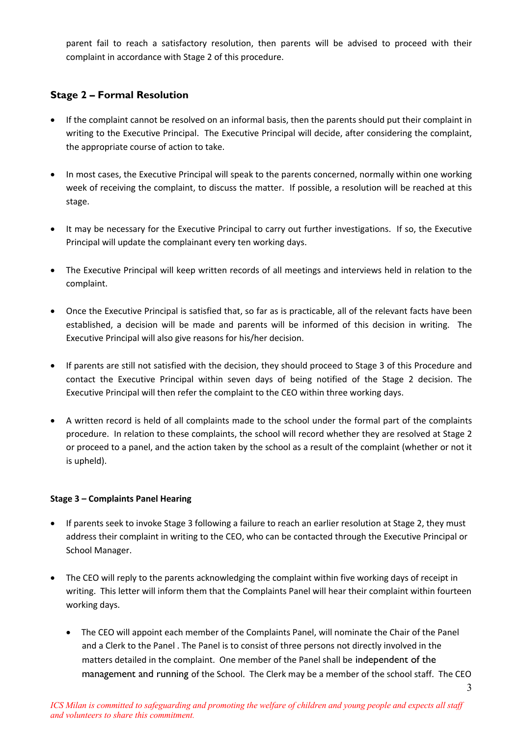parent fail to reach a satisfactory resolution, then parents will be advised to proceed with their complaint in accordance with Stage 2 of this procedure.

### **Stage 2 – Formal Resolution**

- If the complaint cannot be resolved on an informal basis, then the parents should put their complaint in writing to the Executive Principal. The Executive Principal will decide, after considering the complaint, the appropriate course of action to take.
- In most cases, the Executive Principal will speak to the parents concerned, normally within one working week of receiving the complaint, to discuss the matter. If possible, a resolution will be reached at this stage.
- It may be necessary for the Executive Principal to carry out further investigations. If so, the Executive Principal will update the complainant every ten working days.
- The Executive Principal will keep written records of all meetings and interviews held in relation to the complaint.
- Once the Executive Principal is satisfied that, so far as is practicable, all of the relevant facts have been established, a decision will be made and parents will be informed of this decision in writing. The Executive Principal will also give reasons for his/her decision.
- If parents are still not satisfied with the decision, they should proceed to Stage 3 of this Procedure and contact the Executive Principal within seven days of being notified of the Stage 2 decision. The Executive Principal will then refer the complaint to the CEO within three working days.
- A written record is held of all complaints made to the school under the formal part of the complaints procedure. In relation to these complaints, the school will record whether they are resolved at Stage 2 or proceed to a panel, and the action taken by the school as a result of the complaint (whether or not it is upheld).

#### **Stage 3 – Complaints Panel Hearing**

- If parents seek to invoke Stage 3 following a failure to reach an earlier resolution at Stage 2, they must address their complaint in writing to the CEO, who can be contacted through the Executive Principal or School Manager.
- The CEO will reply to the parents acknowledging the complaint within five working days of receipt in writing. This letter will inform them that the Complaints Panel will hear their complaint within fourteen working days.
	- The CEO will appoint each member of the Complaints Panel, will nominate the Chair of the Panel and a Clerk to the Panel . The Panel is to consist of three persons not directly involved in the matters detailed in the complaint. One member of the Panel shall be independent of the management and running of the School. The Clerk may be a member of the school staff. The CEO

3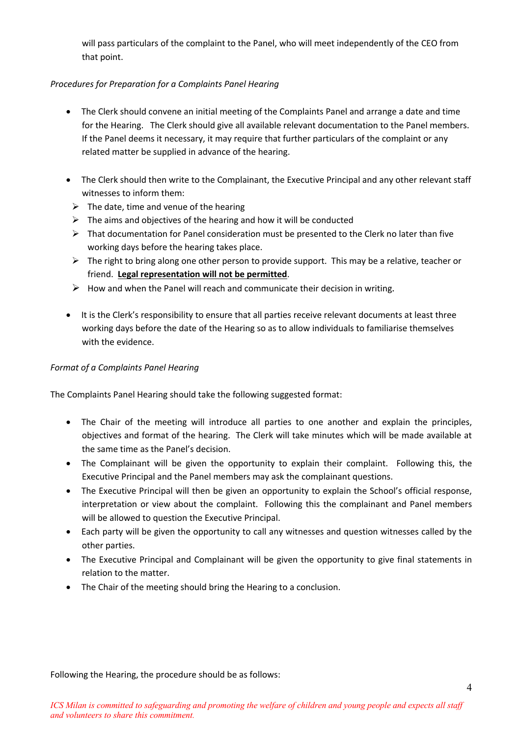will pass particulars of the complaint to the Panel, who will meet independently of the CEO from that point.

#### *Procedures for Preparation for a Complaints Panel Hearing*

- The Clerk should convene an initial meeting of the Complaints Panel and arrange a date and time for the Hearing. The Clerk should give all available relevant documentation to the Panel members. If the Panel deems it necessary, it may require that further particulars of the complaint or any related matter be supplied in advance of the hearing.
- The Clerk should then write to the Complainant, the Executive Principal and any other relevant staff witnesses to inform them:
	- $\triangleright$  The date, time and venue of the hearing
	- $\triangleright$  The aims and objectives of the hearing and how it will be conducted
	- $\triangleright$  That documentation for Panel consideration must be presented to the Clerk no later than five working days before the hearing takes place.
	- $\triangleright$  The right to bring along one other person to provide support. This may be a relative, teacher or friend. **Legal representation will not be permitted**.
	- $\triangleright$  How and when the Panel will reach and communicate their decision in writing.
- It is the Clerk's responsibility to ensure that all parties receive relevant documents at least three working days before the date of the Hearing so as to allow individuals to familiarise themselves with the evidence.

#### *Format of a Complaints Panel Hearing*

The Complaints Panel Hearing should take the following suggested format:

- The Chair of the meeting will introduce all parties to one another and explain the principles, objectives and format of the hearing. The Clerk will take minutes which will be made available at the same time as the Panel's decision.
- The Complainant will be given the opportunity to explain their complaint. Following this, the Executive Principal and the Panel members may ask the complainant questions.
- The Executive Principal will then be given an opportunity to explain the School's official response, interpretation or view about the complaint. Following this the complainant and Panel members will be allowed to question the Executive Principal.
- Each party will be given the opportunity to call any witnesses and question witnesses called by the other parties.
- The Executive Principal and Complainant will be given the opportunity to give final statements in relation to the matter.
- The Chair of the meeting should bring the Hearing to a conclusion.

Following the Hearing, the procedure should be as follows: